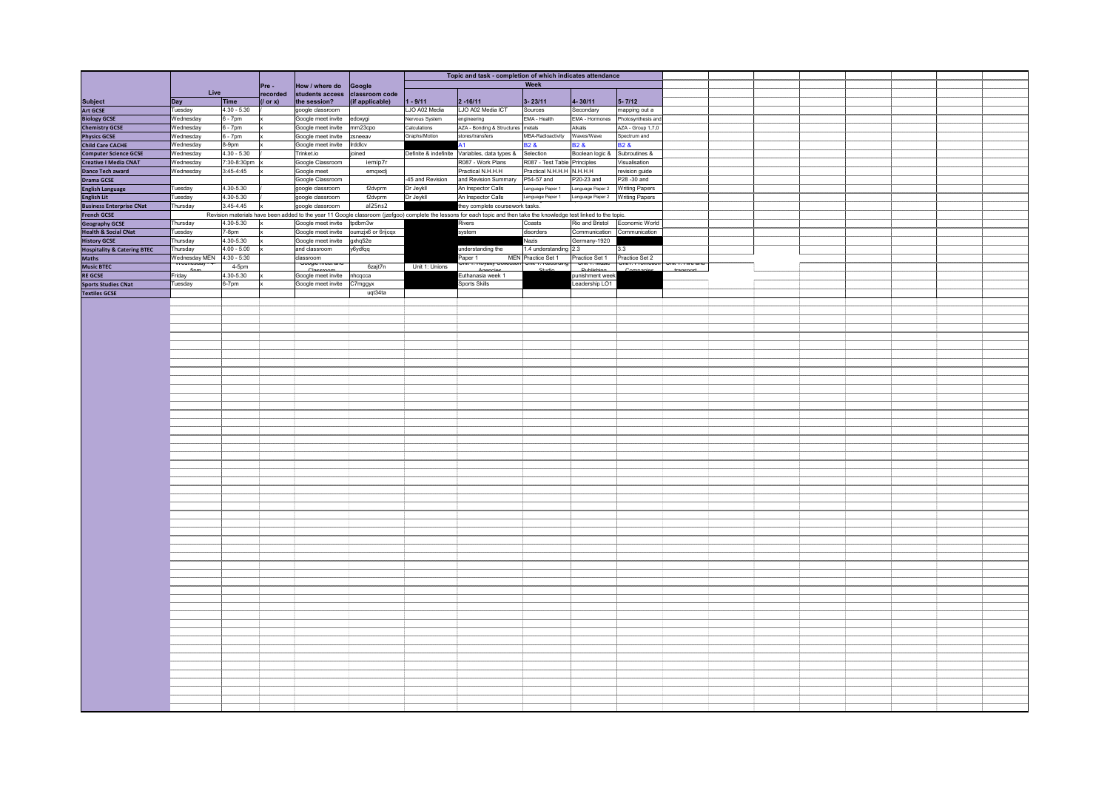|                                        |                      |               |          |                                    |                     |                  | Topic and task - completion of which indicates attendance                                                                                                              |                              |                                 |                                                   |           |  |
|----------------------------------------|----------------------|---------------|----------|------------------------------------|---------------------|------------------|------------------------------------------------------------------------------------------------------------------------------------------------------------------------|------------------------------|---------------------------------|---------------------------------------------------|-----------|--|
|                                        |                      |               | $Pre -$  | How / where do                     | Google              |                  |                                                                                                                                                                        | Week                         |                                 |                                                   |           |  |
|                                        |                      | Live          | recorded | students access                    | classroom code      |                  |                                                                                                                                                                        |                              |                                 |                                                   |           |  |
| <b>Subject</b>                         | $ $ Day              | <b>Time</b>   | (1 or x) | the session?                       | $ $ (if applicable) | $ 1 - 9/11 $     | $ 2 - 16/11 $                                                                                                                                                          | $ 3 - 23/11 $                | $ 4 - 30/11 $                   | $5 - 7/12$                                        |           |  |
| <b>Art GCSE</b>                        | Tuesday              | $4.30 - 5.30$ |          | google classroom                   |                     | LJO A02 Media    | LJO A02 Media ICT                                                                                                                                                      | Sources                      | Secondary                       | mapping out a                                     |           |  |
|                                        | Wednesday            | $6 - 7$ pm    |          |                                    |                     |                  |                                                                                                                                                                        | EMA - Health                 | <b>EMA - Hormones</b>           |                                                   |           |  |
| <b>Biology GCSE</b>                    |                      |               |          | Google meet invite                 | edoxygi             | Nervous System   | engineering                                                                                                                                                            |                              |                                 | Photosynthesis and                                |           |  |
| <b>Chemistry GCSE</b>                  | Wednesday            | $6 - 7$ pm    |          | Google meet invite                 | mm23cpo             | Calculations     | AZA - Bonding & Structures   metals                                                                                                                                    |                              | Alkalis                         | AZA - Group 1,7,0                                 |           |  |
| <b>Physics GCSE</b>                    | Wednesday            | $6 - 7$ pm    |          | Google meet invite                 | zsneeav             | Graphs/Motion    | stores/transfers                                                                                                                                                       | MBA-Radioactivity            | Waves/Wave                      | Spectrum and                                      |           |  |
| <b>Child Care CACHE</b>                | Wednesday            | 8-9pm         |          | Google meet invite                 | Irddlcv             |                  | A1.                                                                                                                                                                    | <b>B2 &amp;</b>              | <b>B2 &amp;</b>                 | <b>B2&amp;</b>                                    |           |  |
| <b>Computer Science GCSE</b>           | Wednesday            | $4.30 - 5.30$ |          | Trinket.io                         | joined              |                  | Definite & indefinite Variables, data types &                                                                                                                          | Selection                    | Boolean logic &                 | Subroutines &                                     |           |  |
| <b>Creative I Media CNAT</b>           | Wednesday            | 7:30-8:30pm   |          | Google Classroom                   | iemip7r             |                  | R087 - Work Plans                                                                                                                                                      | R087 - Test Table Principles |                                 | Visualisation                                     |           |  |
| <b>Dance Tech award</b>                | Wednesday            | 3:45-4:45     |          | Google meet                        | emqxxdj             |                  | Practical N.H.H.H                                                                                                                                                      | Practical N.H.H.H N.H.H.H    |                                 | revision guide                                    |           |  |
| <b>Drama GCSE</b>                      |                      |               |          | Google Classroom                   |                     | -45 and Revision | and Revision Summary                                                                                                                                                   | P54-57 and                   | P20-23 and                      | P28 -30 and                                       |           |  |
| <b>English Language</b>                | Tuesday              | 4.30-5.30     |          | google classroom                   | f2dvprm             | Dr Jeykll        | An Inspector Calls                                                                                                                                                     | Language Paper 1             | Language Paper 2                | <b>Writing Papers</b>                             |           |  |
| English Lit                            | Tuesday              | 4.30-5.30     |          | google classroom                   | f2dvprm             | Dr Jeykll        | An Inspector Calls                                                                                                                                                     |                              | Language Paper 2 Writing Papers |                                                   |           |  |
|                                        |                      |               |          |                                    |                     |                  |                                                                                                                                                                        | Language Paper 1             |                                 |                                                   |           |  |
| <b>Business Enterprise CNat</b>        | Thursday             | 3.45-4.45     |          | google classroom                   | al25ns2             |                  | they complete coursework tasks.                                                                                                                                        |                              |                                 |                                                   |           |  |
| <b>French GCSE</b>                     |                      |               |          |                                    |                     |                  | Revision materials have been added to the year 11 Google classroom (jzefgoo) complete the lessons for each topic and then take the knowledge test linked to the topic. |                              |                                 |                                                   |           |  |
| <b>Geography GCSE</b>                  | Thursday             | 4.30-5.30     |          | Google meet invite                 | tpdbm3w             |                  | <b>Rivers</b>                                                                                                                                                          | Coasts                       | Rio and Bristol                 | Economic World                                    |           |  |
| <b>Health &amp; Social CNat</b>        | Tuesday              | <b>7-8pm</b>  |          | Google meet invite                 | oumzjx6 or 6rijcqx  |                  | system                                                                                                                                                                 | disorders                    | Communication                   | Communication                                     |           |  |
| <b>History GCSE</b>                    | Thursday             | 4.30-5.30     |          | Google meet invite                 | gxhq52e             |                  |                                                                                                                                                                        | <b>Nazis</b>                 | Germany-1920                    |                                                   |           |  |
| <b>Hospitality &amp; Catering BTEC</b> | Thursday             | $4.00 - 5.00$ |          | and classroom                      | y6ydfqq             |                  | understanding the                                                                                                                                                      | 1.4 understanding 2.3        |                                 | 3.3                                               |           |  |
| <b>Maths</b>                           | Wednesday MEN        | $4:30 - 5:30$ |          | classroom                          |                     |                  | Paper 1                                                                                                                                                                | MEN Practice Set 1           | Practice Set 1                  | Practice Set 2                                    |           |  |
| <b>Music BTEC</b>                      | vvednesday - 4-      | 4-5pm         |          | <del>Google meet and</del>         | 6zajt7n             | Unit 1: Unions   | onic r: Royalty Collection   Onic r: Recording   Onic r: Music<br><b>Agono</b> ico                                                                                     |                              |                                 | † <del>Unit i∶ Promotion   Unit i∶ Hire and</del> |           |  |
| <b>RE GCSE</b>                         | <b>Enm</b><br>Friday | 4.30-5.30     |          | $C$ lassroom<br>Google meet invite | nhcqcca             |                  | Euthanasia week 1                                                                                                                                                      | Studio                       | Dubliching<br>punishment week   | Companies                                         | trancport |  |
|                                        | Tuesday              | 6-7pm         |          | Google meet invite                 | C7mggyx             |                  | <b>Sports Skills</b>                                                                                                                                                   |                              | Leadership LO1                  |                                                   |           |  |
| <b>Sports Studies CNat</b>             |                      |               |          |                                    |                     |                  |                                                                                                                                                                        |                              |                                 |                                                   |           |  |
| <b>Textiles GCSE</b>                   |                      |               |          |                                    | uqt34ta             |                  |                                                                                                                                                                        |                              |                                 |                                                   |           |  |
|                                        |                      |               |          |                                    |                     |                  |                                                                                                                                                                        |                              |                                 |                                                   |           |  |
|                                        |                      |               |          |                                    |                     |                  |                                                                                                                                                                        |                              |                                 |                                                   |           |  |
|                                        |                      |               |          |                                    |                     |                  |                                                                                                                                                                        |                              |                                 |                                                   |           |  |
|                                        |                      |               |          |                                    |                     |                  |                                                                                                                                                                        |                              |                                 |                                                   |           |  |
|                                        |                      |               |          |                                    |                     |                  |                                                                                                                                                                        |                              |                                 |                                                   |           |  |
|                                        |                      |               |          |                                    |                     |                  |                                                                                                                                                                        |                              |                                 |                                                   |           |  |
|                                        |                      |               |          |                                    |                     |                  |                                                                                                                                                                        |                              |                                 |                                                   |           |  |
|                                        |                      |               |          |                                    |                     |                  |                                                                                                                                                                        |                              |                                 |                                                   |           |  |
|                                        |                      |               |          |                                    |                     |                  |                                                                                                                                                                        |                              |                                 |                                                   |           |  |
|                                        |                      |               |          |                                    |                     |                  |                                                                                                                                                                        |                              |                                 |                                                   |           |  |
|                                        |                      |               |          |                                    |                     |                  |                                                                                                                                                                        |                              |                                 |                                                   |           |  |
|                                        |                      |               |          |                                    |                     |                  |                                                                                                                                                                        |                              |                                 |                                                   |           |  |
|                                        |                      |               |          |                                    |                     |                  |                                                                                                                                                                        |                              |                                 |                                                   |           |  |
|                                        |                      |               |          |                                    |                     |                  |                                                                                                                                                                        |                              |                                 |                                                   |           |  |
|                                        |                      |               |          |                                    |                     |                  |                                                                                                                                                                        |                              |                                 |                                                   |           |  |
|                                        |                      |               |          |                                    |                     |                  |                                                                                                                                                                        |                              |                                 |                                                   |           |  |
|                                        |                      |               |          |                                    |                     |                  |                                                                                                                                                                        |                              |                                 |                                                   |           |  |
|                                        |                      |               |          |                                    |                     |                  |                                                                                                                                                                        |                              |                                 |                                                   |           |  |
|                                        |                      |               |          |                                    |                     |                  |                                                                                                                                                                        |                              |                                 |                                                   |           |  |
|                                        |                      |               |          |                                    |                     |                  |                                                                                                                                                                        |                              |                                 |                                                   |           |  |
|                                        |                      |               |          |                                    |                     |                  |                                                                                                                                                                        |                              |                                 |                                                   |           |  |
|                                        |                      |               |          |                                    |                     |                  |                                                                                                                                                                        |                              |                                 |                                                   |           |  |
|                                        |                      |               |          |                                    |                     |                  |                                                                                                                                                                        |                              |                                 |                                                   |           |  |
|                                        |                      |               |          |                                    |                     |                  |                                                                                                                                                                        |                              |                                 |                                                   |           |  |
|                                        |                      |               |          |                                    |                     |                  |                                                                                                                                                                        |                              |                                 |                                                   |           |  |
|                                        |                      |               |          |                                    |                     |                  |                                                                                                                                                                        |                              |                                 |                                                   |           |  |
|                                        |                      |               |          |                                    |                     |                  |                                                                                                                                                                        |                              |                                 |                                                   |           |  |
|                                        |                      |               |          |                                    |                     |                  |                                                                                                                                                                        |                              |                                 |                                                   |           |  |
|                                        |                      |               |          |                                    |                     |                  |                                                                                                                                                                        |                              |                                 |                                                   |           |  |
|                                        |                      |               |          |                                    |                     |                  |                                                                                                                                                                        |                              |                                 |                                                   |           |  |
|                                        |                      |               |          |                                    |                     |                  |                                                                                                                                                                        |                              |                                 |                                                   |           |  |
|                                        |                      |               |          |                                    |                     |                  |                                                                                                                                                                        |                              |                                 |                                                   |           |  |
|                                        |                      |               |          |                                    |                     |                  |                                                                                                                                                                        |                              |                                 |                                                   |           |  |
|                                        |                      |               |          |                                    |                     |                  |                                                                                                                                                                        |                              |                                 |                                                   |           |  |
|                                        |                      |               |          |                                    |                     |                  |                                                                                                                                                                        |                              |                                 |                                                   |           |  |
|                                        |                      |               |          |                                    |                     |                  |                                                                                                                                                                        |                              |                                 |                                                   |           |  |
|                                        |                      |               |          |                                    |                     |                  |                                                                                                                                                                        |                              |                                 |                                                   |           |  |
|                                        |                      |               |          |                                    |                     |                  |                                                                                                                                                                        |                              |                                 |                                                   |           |  |
|                                        |                      |               |          |                                    |                     |                  |                                                                                                                                                                        |                              |                                 |                                                   |           |  |
|                                        |                      |               |          |                                    |                     |                  |                                                                                                                                                                        |                              |                                 |                                                   |           |  |
|                                        |                      |               |          |                                    |                     |                  |                                                                                                                                                                        |                              |                                 |                                                   |           |  |
|                                        |                      |               |          |                                    |                     |                  |                                                                                                                                                                        |                              |                                 |                                                   |           |  |
|                                        |                      |               |          |                                    |                     |                  |                                                                                                                                                                        |                              |                                 |                                                   |           |  |
|                                        |                      |               |          |                                    |                     |                  |                                                                                                                                                                        |                              |                                 |                                                   |           |  |
|                                        |                      |               |          |                                    |                     |                  |                                                                                                                                                                        |                              |                                 |                                                   |           |  |
|                                        |                      |               |          |                                    |                     |                  |                                                                                                                                                                        |                              |                                 |                                                   |           |  |
|                                        |                      |               |          |                                    |                     |                  |                                                                                                                                                                        |                              |                                 |                                                   |           |  |
|                                        |                      |               |          |                                    |                     |                  |                                                                                                                                                                        |                              |                                 |                                                   |           |  |
|                                        |                      |               |          |                                    |                     |                  |                                                                                                                                                                        |                              |                                 |                                                   |           |  |
|                                        |                      |               |          |                                    |                     |                  |                                                                                                                                                                        |                              |                                 |                                                   |           |  |
|                                        |                      |               |          |                                    |                     |                  |                                                                                                                                                                        |                              |                                 |                                                   |           |  |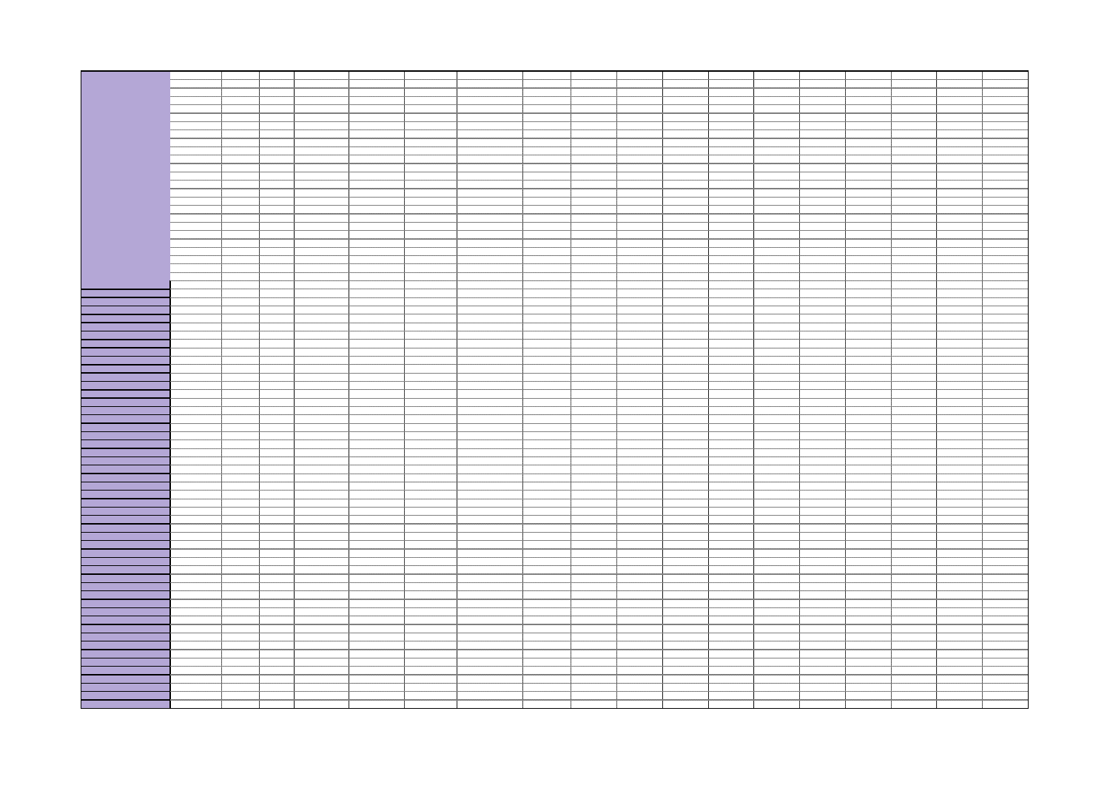| <b>Tara</b>              |  |  |  |  |  |
|--------------------------|--|--|--|--|--|
|                          |  |  |  |  |  |
|                          |  |  |  |  |  |
|                          |  |  |  |  |  |
|                          |  |  |  |  |  |
|                          |  |  |  |  |  |
|                          |  |  |  |  |  |
|                          |  |  |  |  |  |
|                          |  |  |  |  |  |
|                          |  |  |  |  |  |
| <b>Contract Contract</b> |  |  |  |  |  |
|                          |  |  |  |  |  |